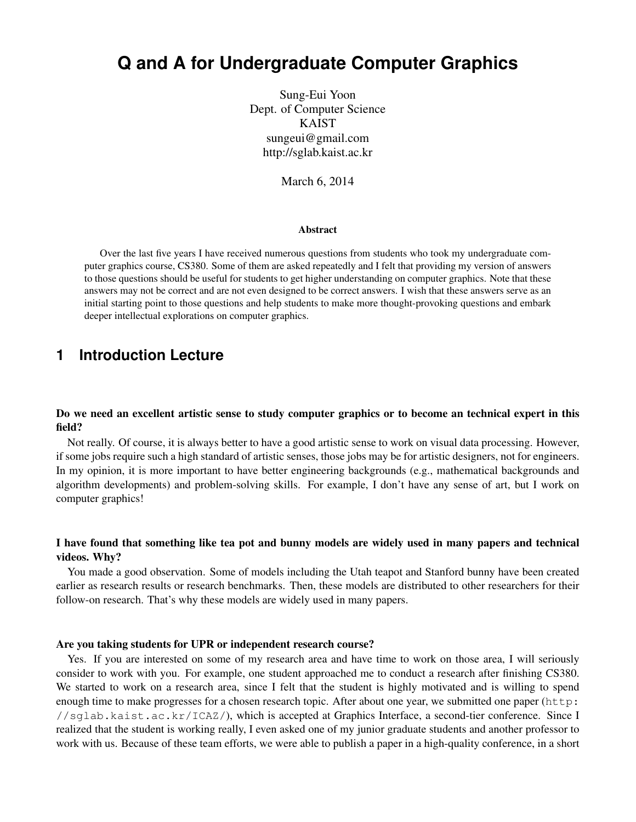# **Q and A for Undergraduate Computer Graphics**

Sung-Eui Yoon Dept. of Computer Science KAIST sungeui@gmail.com http://sglab.kaist.ac.kr

March 6, 2014

#### Abstract

Over the last five years I have received numerous questions from students who took my undergraduate computer graphics course, CS380. Some of them are asked repeatedly and I felt that providing my version of answers to those questions should be useful for students to get higher understanding on computer graphics. Note that these answers may not be correct and are not even designed to be correct answers. I wish that these answers serve as an initial starting point to those questions and help students to make more thought-provoking questions and embark deeper intellectual explorations on computer graphics.

## **1 Introduction Lecture**

### Do we need an excellent artistic sense to study computer graphics or to become an technical expert in this field?

Not really. Of course, it is always better to have a good artistic sense to work on visual data processing. However, if some jobs require such a high standard of artistic senses, those jobs may be for artistic designers, not for engineers. In my opinion, it is more important to have better engineering backgrounds (e.g., mathematical backgrounds and algorithm developments) and problem-solving skills. For example, I don't have any sense of art, but I work on computer graphics!

### I have found that something like tea pot and bunny models are widely used in many papers and technical videos. Why?

You made a good observation. Some of models including the Utah teapot and Stanford bunny have been created earlier as research results or research benchmarks. Then, these models are distributed to other researchers for their follow-on research. That's why these models are widely used in many papers.

#### Are you taking students for UPR or independent research course?

Yes. If you are interested on some of my research area and have time to work on those area, I will seriously consider to work with you. For example, one student approached me to conduct a research after finishing CS380. We started to work on a research area, since I felt that the student is highly motivated and is willing to spend enough time to make progresses for a chosen research topic. After about one year, we submitted one paper (http: //sglab.kaist.ac.kr/ICAZ/), which is accepted at Graphics Interface, a second-tier conference. Since I realized that the student is working really, I even asked one of my junior graduate students and another professor to work with us. Because of these team efforts, we were able to publish a paper in a high-quality conference, in a short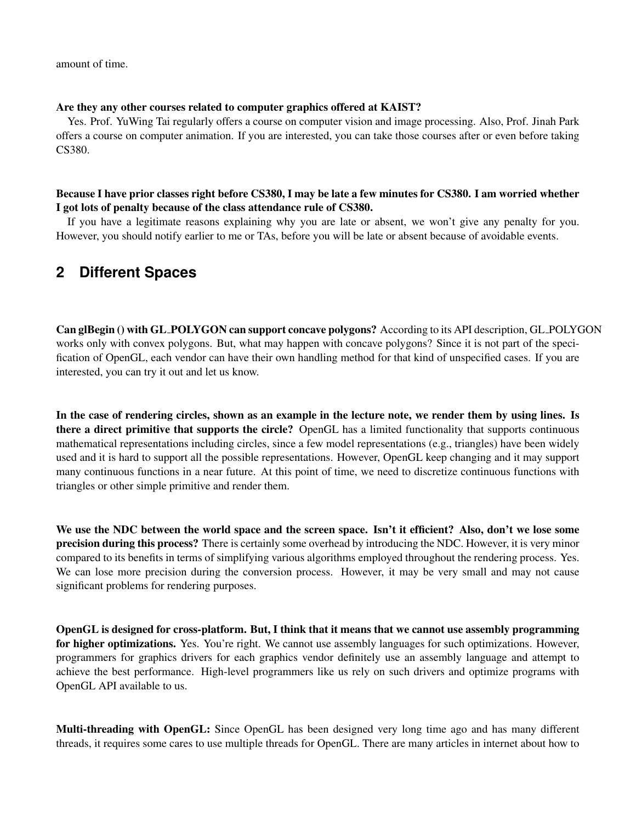amount of time.

### Are they any other courses related to computer graphics offered at KAIST?

Yes. Prof. YuWing Tai regularly offers a course on computer vision and image processing. Also, Prof. Jinah Park offers a course on computer animation. If you are interested, you can take those courses after or even before taking CS380.

### Because I have prior classes right before CS380, I may be late a few minutes for CS380. I am worried whether I got lots of penalty because of the class attendance rule of CS380.

If you have a legitimate reasons explaining why you are late or absent, we won't give any penalty for you. However, you should notify earlier to me or TAs, before you will be late or absent because of avoidable events.

## **2 Different Spaces**

Can glBegin () with GL POLYGON can support concave polygons? According to its API description, GL POLYGON works only with convex polygons. But, what may happen with concave polygons? Since it is not part of the specification of OpenGL, each vendor can have their own handling method for that kind of unspecified cases. If you are interested, you can try it out and let us know.

In the case of rendering circles, shown as an example in the lecture note, we render them by using lines. Is there a direct primitive that supports the circle? OpenGL has a limited functionality that supports continuous mathematical representations including circles, since a few model representations (e.g., triangles) have been widely used and it is hard to support all the possible representations. However, OpenGL keep changing and it may support many continuous functions in a near future. At this point of time, we need to discretize continuous functions with triangles or other simple primitive and render them.

We use the NDC between the world space and the screen space. Isn't it efficient? Also, don't we lose some precision during this process? There is certainly some overhead by introducing the NDC. However, it is very minor compared to its benefits in terms of simplifying various algorithms employed throughout the rendering process. Yes. We can lose more precision during the conversion process. However, it may be very small and may not cause significant problems for rendering purposes.

OpenGL is designed for cross-platform. But, I think that it means that we cannot use assembly programming for higher optimizations. Yes. You're right. We cannot use assembly languages for such optimizations. However, programmers for graphics drivers for each graphics vendor definitely use an assembly language and attempt to achieve the best performance. High-level programmers like us rely on such drivers and optimize programs with OpenGL API available to us.

Multi-threading with OpenGL: Since OpenGL has been designed very long time ago and has many different threads, it requires some cares to use multiple threads for OpenGL. There are many articles in internet about how to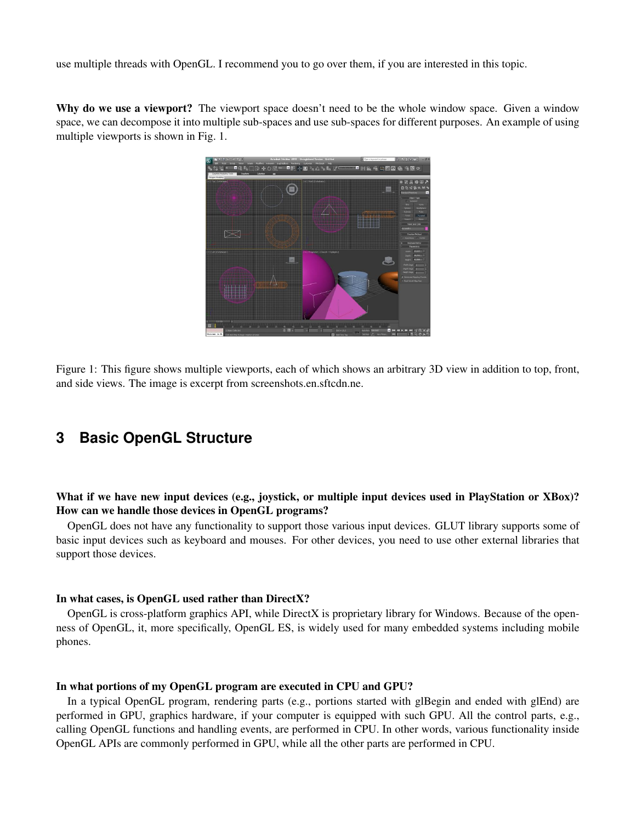use multiple threads with OpenGL. I recommend you to go over them, if you are interested in this topic.

Why do we use a viewport? The viewport space doesn't need to be the whole window space. Given a window space, we can decompose it into multiple sub-spaces and use sub-spaces for different purposes. An example of using multiple viewports is shown in Fig. 1.



Figure 1: This figure shows multiple viewports, each of which shows an arbitrary 3D view in addition to top, front, and side views. The image is excerpt from screenshots.en.sftcdn.ne.

## **3 Basic OpenGL Structure**

What if we have new input devices (e.g., joystick, or multiple input devices used in PlayStation or XBox)? How can we handle those devices in OpenGL programs?

OpenGL does not have any functionality to support those various input devices. GLUT library supports some of basic input devices such as keyboard and mouses. For other devices, you need to use other external libraries that support those devices.

#### In what cases, is OpenGL used rather than DirectX?

OpenGL is cross-platform graphics API, while DirectX is proprietary library for Windows. Because of the openness of OpenGL, it, more specifically, OpenGL ES, is widely used for many embedded systems including mobile phones.

#### In what portions of my OpenGL program are executed in CPU and GPU?

In a typical OpenGL program, rendering parts (e.g., portions started with glBegin and ended with glEnd) are performed in GPU, graphics hardware, if your computer is equipped with such GPU. All the control parts, e.g., calling OpenGL functions and handling events, are performed in CPU. In other words, various functionality inside OpenGL APIs are commonly performed in GPU, while all the other parts are performed in CPU.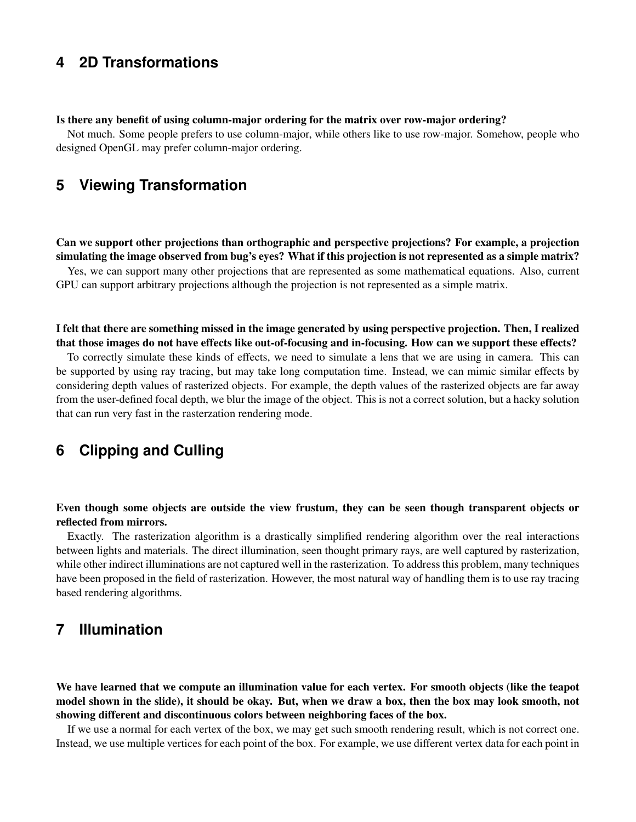## **4 2D Transformations**

#### Is there any benefit of using column-major ordering for the matrix over row-major ordering?

Not much. Some people prefers to use column-major, while others like to use row-major. Somehow, people who designed OpenGL may prefer column-major ordering.

## **5 Viewing Transformation**

Can we support other projections than orthographic and perspective projections? For example, a projection simulating the image observed from bug's eyes? What if this projection is not represented as a simple matrix?

Yes, we can support many other projections that are represented as some mathematical equations. Also, current GPU can support arbitrary projections although the projection is not represented as a simple matrix.

I felt that there are something missed in the image generated by using perspective projection. Then, I realized that those images do not have effects like out-of-focusing and in-focusing. How can we support these effects?

To correctly simulate these kinds of effects, we need to simulate a lens that we are using in camera. This can be supported by using ray tracing, but may take long computation time. Instead, we can mimic similar effects by considering depth values of rasterized objects. For example, the depth values of the rasterized objects are far away from the user-defined focal depth, we blur the image of the object. This is not a correct solution, but a hacky solution that can run very fast in the rasterzation rendering mode.

## **6 Clipping and Culling**

### Even though some objects are outside the view frustum, they can be seen though transparent objects or reflected from mirrors.

Exactly. The rasterization algorithm is a drastically simplified rendering algorithm over the real interactions between lights and materials. The direct illumination, seen thought primary rays, are well captured by rasterization, while other indirect illuminations are not captured well in the rasterization. To address this problem, many techniques have been proposed in the field of rasterization. However, the most natural way of handling them is to use ray tracing based rendering algorithms.

## **7 Illumination**

We have learned that we compute an illumination value for each vertex. For smooth objects (like the teapot model shown in the slide), it should be okay. But, when we draw a box, then the box may look smooth, not showing different and discontinuous colors between neighboring faces of the box.

If we use a normal for each vertex of the box, we may get such smooth rendering result, which is not correct one. Instead, we use multiple vertices for each point of the box. For example, we use different vertex data for each point in